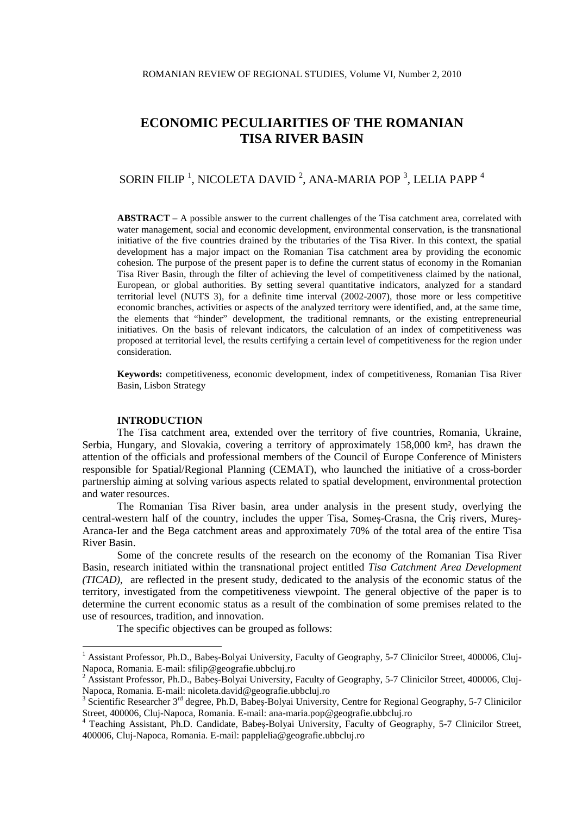# SORIN FILIP  $^1$ , NICOLETA DAVID  $^2$ , ANA-MARIA POP  $^3$ , LELIA PAPP  $^4$

**ABSTRACT** – A possible answer to the current challenges of the Tisa catchment area, correlated with water management, social and economic development, environmental conservation, is the transnational initiative of the five countries drained by the tributaries of the Tisa River. In this context, the spatial development has a major impact on the Romanian Tisa catchment area by providing the economic cohesion. The purpose of the present paper is to define the current status of economy in the Romanian Tisa River Basin, through the filter of achieving the level of competitiveness claimed by the national, European, or global authorities. By setting several quantitative indicators, analyzed for a standard territorial level (NUTS 3), for a definite time interval (2002-2007), those more or less competitive economic branches, activities or aspects of the analyzed territory were identified, and, at the same time, the elements that "hinder" development, the traditional remnants, or the existing entrepreneurial initiatives. On the basis of relevant indicators, the calculation of an index of competitiveness was proposed at territorial level, the results certifying a certain level of competitiveness for the region under consideration.

**Keywords:** competitiveness, economic development, index of competitiveness, Romanian Tisa River Basin, Lisbon Strategy

#### **INTRODUCTION**

 $\overline{a}$ 

The Tisa catchment area, extended over the territory of five countries, Romania, Ukraine, Serbia, Hungary, and Slovakia, covering a territory of approximately 158,000 km², has drawn the attention of the officials and professional members of the Council of Europe Conference of Ministers responsible for Spatial/Regional Planning (CEMAT), who launched the initiative of a cross-border partnership aiming at solving various aspects related to spatial development, environmental protection and water resources.

The Romanian Tisa River basin, area under analysis in the present study, overlying the central-western half of the country, includes the upper Tisa, Someş-Crasna, the Criş rivers, Mureş-Aranca-Ier and the Bega catchment areas and approximately 70% of the total area of the entire Tisa River Basin.

Some of the concrete results of the research on the economy of the Romanian Tisa River Basin, research initiated within the transnational project entitled *Tisa Catchment Area Development (TICAD)*, are reflected in the present study, dedicated to the analysis of the economic status of the territory, investigated from the competitiveness viewpoint. The general objective of the paper is to determine the current economic status as a result of the combination of some premises related to the use of resources, tradition, and innovation.

The specific objectives can be grouped as follows:

<sup>&</sup>lt;sup>1</sup> Assistant Professor, Ph.D., Babeș-Bolyai University, Faculty of Geography, 5-7 Clinicilor Street, 400006, Cluj-Napoca, Romania. E-mail: sfilip@geografie.ubbcluj.ro<br><sup>2</sup> Assistant Professor, Ph.D., Babeș-Bolyai University, Faculty of Geography, 5-7 Clinicilor Street, 400006, Cluj-

Napoca, Romania. E-mail: nicoleta.david@geografie.ubbcluj.ro<br><sup>3</sup> Scientific Researcher 3<sup>rd</sup> degree, Ph.D, Babeș-Bolyai University, Centre for Regional Geography, 5-7 Clinicilor

Street, 400006, Cluj-Napoca, Romania. E-mail: ana-maria.pop@geografie.ubbcluj.ro

<sup>4</sup> Teaching Assistant, Ph.D. Candidate, Babeş-Bolyai University, Faculty of Geography, 5-7 Clinicilor Street, 400006, Cluj-Napoca, Romania. E-mail: papplelia@geografie.ubbcluj.ro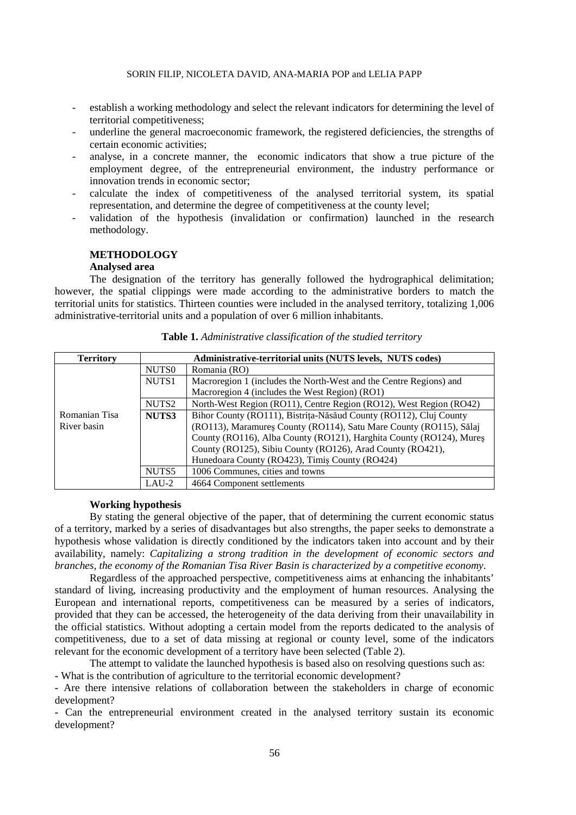- establish a working methodology and select the relevant indicators for determining the level of territorial competitiveness;
- underline the general macroeconomic framework, the registered deficiencies, the strengths of certain economic activities;
- analyse, in a concrete manner, the economic indicators that show a true picture of the employment degree, of the entrepreneurial environment, the industry performance or innovation trends in economic sector;
- calculate the index of competitiveness of the analysed territorial system, its spatial representation, and determine the degree of competitiveness at the county level;
- validation of the hypothesis (invalidation or confirmation) launched in the research methodology.

# **METHODOLOGY**

#### **Analysed area**

The designation of the territory has generally followed the hydrographical delimitation; however, the spatial clippings were made according to the administrative borders to match the territorial units for statistics. Thirteen counties were included in the analysed territory, totalizing 1,006 administrative-territorial units and a population of over 6 million inhabitants.

| <b>Territory</b> | Administrative-territorial units (NUTS levels, NUTS codes) |                                                                     |  |  |  |
|------------------|------------------------------------------------------------|---------------------------------------------------------------------|--|--|--|
|                  | NUTS <sub>0</sub>                                          | Romania (RO)                                                        |  |  |  |
|                  | NUTS1                                                      | Macroregion 1 (includes the North-West and the Centre Regions) and  |  |  |  |
|                  |                                                            | Macroregion 4 (includes the West Region) (RO1)                      |  |  |  |
|                  | NUTS <sub>2</sub>                                          | North-West Region (RO11), Centre Region (RO12), West Region (RO42)  |  |  |  |
| Romanian Tisa    | NUTS3                                                      | Bihor County (RO111), Bistrița-Năsăud County (RO112), Cluj County   |  |  |  |
| River basin      |                                                            | (RO113), Maramureș County (RO114), Satu Mare County (RO115), Sălaj  |  |  |  |
|                  |                                                            | County (RO116), Alba County (RO121), Harghita County (RO124), Mures |  |  |  |
|                  |                                                            | County (RO125), Sibiu County (RO126), Arad County (RO421),          |  |  |  |
|                  |                                                            | Hunedoara County (RO423), Timiș County (RO424)                      |  |  |  |
|                  | NUTS5                                                      | 1006 Communes, cities and towns                                     |  |  |  |
|                  | $LAU-2$                                                    | 4664 Component settlements                                          |  |  |  |

## **Table 1.** *Administrative classification of the studied territory*

#### **Working hypothesis**

By stating the general objective of the paper, that of determining the current economic status of a territory, marked by a series of disadvantages but also strengths, the paper seeks to demonstrate a hypothesis whose validation is directly conditioned by the indicators taken into account and by their availability, namely: *Capitalizing a strong tradition in the development of economic sectors and branches, the economy of the Romanian Tisa River Basin is characterized by a competitive economy*.

 Regardless of the approached perspective, competitiveness aims at enhancing the inhabitants' standard of living, increasing productivity and the employment of human resources. Analysing the European and international reports, competitiveness can be measured by a series of indicators, provided that they can be accessed, the heterogeneity of the data deriving from their unavailability in the official statistics. Without adopting a certain model from the reports dedicated to the analysis of competitiveness, due to a set of data missing at regional or county level, some of the indicators relevant for the economic development of a territory have been selected (Table 2).

 The attempt to validate the launched hypothesis is based also on resolving questions such as: **-** What is the contribution of agriculture to the territorial economic development?

**-** Are there intensive relations of collaboration between the stakeholders in charge of economic development?

**-** Can the entrepreneurial environment created in the analysed territory sustain its economic development?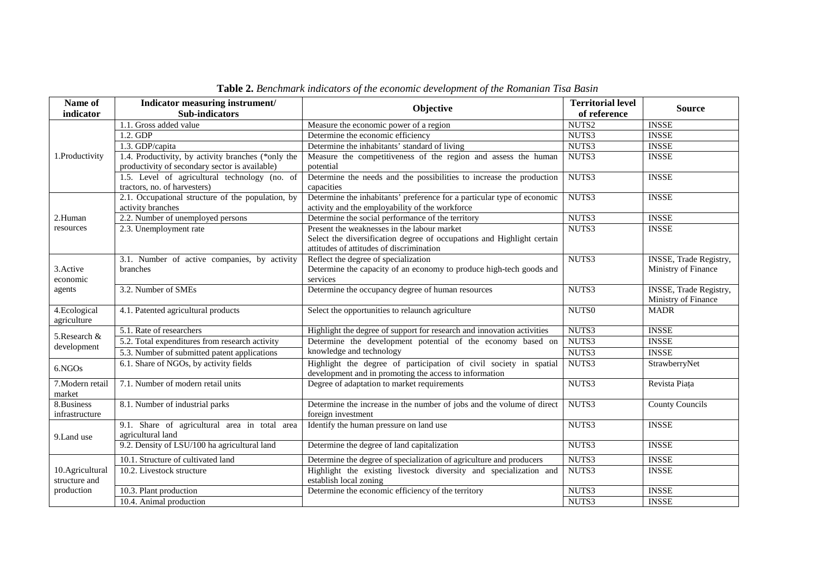| Name of<br>indicator             | Indicator measuring instrument/<br><b>Sub-indicators</b>                                             | Objective                                                                                                                                                         | <b>Territorial level</b><br>of reference | <b>Source</b>                                        |
|----------------------------------|------------------------------------------------------------------------------------------------------|-------------------------------------------------------------------------------------------------------------------------------------------------------------------|------------------------------------------|------------------------------------------------------|
|                                  | 1.1. Gross added value                                                                               | Measure the economic power of a region                                                                                                                            | NUTS2                                    | <b>INSSE</b>                                         |
|                                  | 1.2. GDP                                                                                             | Determine the economic efficiency                                                                                                                                 | NUTS3                                    | <b>INSSE</b>                                         |
| 1.3. GDP/capita                  |                                                                                                      | Determine the inhabitants' standard of living                                                                                                                     | NUTS3                                    | <b>INSSE</b>                                         |
| 1.Productivity                   | 1.4. Productivity, by activity branches (*only the<br>productivity of secondary sector is available) | Measure the competitiveness of the region and assess the human<br>potential                                                                                       | NUTS3                                    | <b>INSSE</b>                                         |
|                                  | 1.5. Level of agricultural technology (no. of<br>tractors, no. of harvesters)                        | Determine the needs and the possibilities to increase the production<br>capacities                                                                                | NUTS3                                    | <b>INSSE</b>                                         |
|                                  | 2.1. Occupational structure of the population, by<br>activity branches                               | Determine the inhabitants' preference for a particular type of economic<br>activity and the employability of the workforce                                        | NUTS3                                    | <b>INSSE</b>                                         |
| 2.Human                          | 2.2. Number of unemployed persons                                                                    | Determine the social performance of the territory                                                                                                                 | NUTS3                                    | <b>INSSE</b>                                         |
| resources                        | 2.3. Unemployment rate                                                                               | Present the weaknesses in the labour market<br>Select the diversification degree of occupations and Highlight certain<br>attitudes of attitudes of discrimination | NUTS3                                    | <b>INSSE</b>                                         |
| 3. Active<br>economic            | 3.1. Number of active companies, by activity<br>branches                                             | Reflect the degree of specialization<br>Determine the capacity of an economy to produce high-tech goods and<br>services                                           | NUTS3                                    | <b>INSSE, Trade Registry,</b><br>Ministry of Finance |
| agents                           | 3.2. Number of SMEs                                                                                  | Determine the occupancy degree of human resources                                                                                                                 | NUTS3                                    | <b>INSSE, Trade Registry,</b><br>Ministry of Finance |
| 4. Ecological<br>agriculture     | 4.1. Patented agricultural products                                                                  | Select the opportunities to relaunch agriculture                                                                                                                  | NUTS0                                    | <b>MADR</b>                                          |
| 5.Research &                     | 5.1. Rate of researchers                                                                             | Highlight the degree of support for research and innovation activities                                                                                            | NUTS3                                    | <b>INSSE</b>                                         |
|                                  | 5.2. Total expenditures from research activity                                                       | Determine the development potential of the economy based on                                                                                                       | NUTS3                                    | <b>INSSE</b>                                         |
| development                      | 5.3. Number of submitted patent applications                                                         | knowledge and technology                                                                                                                                          | NUTS3                                    | <b>INSSE</b>                                         |
| 6.NGOs                           | 6.1. Share of NGOs, by activity fields                                                               | Highlight the degree of participation of civil society in spatial<br>development and in promoting the access to information                                       | NUTS3                                    | StrawberryNet                                        |
| 7. Modern retail<br>market       | 7.1. Number of modern retail units                                                                   | Degree of adaptation to market requirements                                                                                                                       | NUTS3                                    | Revista Piața                                        |
| 8.Business<br>infrastructure     | 8.1. Number of industrial parks                                                                      | Determine the increase in the number of jobs and the volume of direct<br>foreign investment                                                                       | NUTS3                                    | <b>County Councils</b>                               |
| 9.Land use                       | 9.1. Share of agricultural area in total area<br>agricultural land                                   | Identify the human pressure on land use                                                                                                                           | NUTS3                                    | <b>INSSE</b>                                         |
|                                  | 9.2. Density of LSU/100 ha agricultural land                                                         | Determine the degree of land capitalization                                                                                                                       | NUTS3                                    | <b>INSSE</b>                                         |
|                                  | 10.1. Structure of cultivated land                                                                   | Determine the degree of specialization of agriculture and producers                                                                                               | NUTS3                                    | <b>INSSE</b>                                         |
| 10.Agricultural<br>structure and | 10.2. Livestock structure                                                                            | Highlight the existing livestock diversity and specialization and<br>establish local zoning                                                                       | NUTS3                                    | <b>INSSE</b>                                         |
| production                       | 10.3. Plant production                                                                               | Determine the economic efficiency of the territory                                                                                                                | NUTS3                                    | <b>INSSE</b>                                         |
|                                  | 10.4. Animal production                                                                              |                                                                                                                                                                   | NUTS3                                    | <b>INSSE</b>                                         |

**Table 2.** *Benchmark indicators of the economic development of the Romanian Tisa Basin*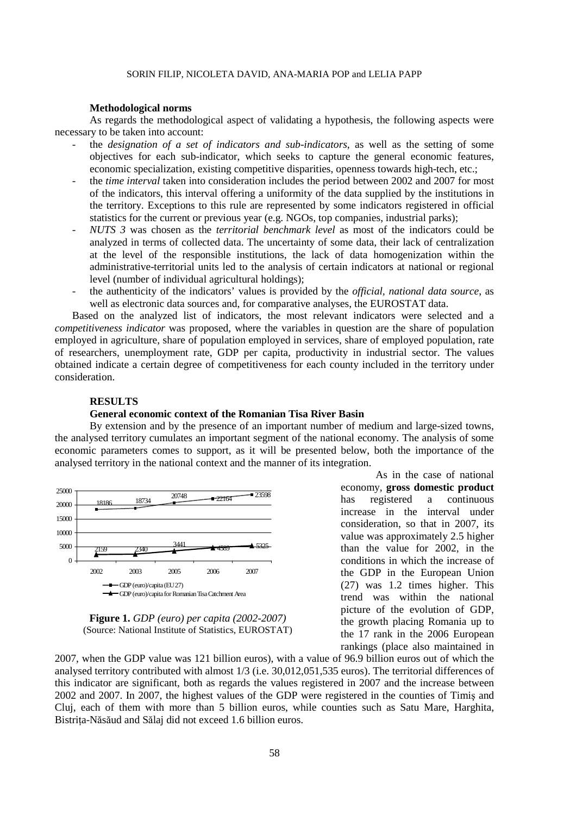#### **Methodological norms**

As regards the methodological aspect of validating a hypothesis, the following aspects were necessary to be taken into account:

- the *designation of a set of indicators and sub-indicators*, as well as the setting of some objectives for each sub-indicator, which seeks to capture the general economic features, economic specialization, existing competitive disparities, openness towards high-tech, etc.;
- the *time interval* taken into consideration includes the period between 2002 and 2007 for most of the indicators, this interval offering a uniformity of the data supplied by the institutions in the territory. Exceptions to this rule are represented by some indicators registered in official statistics for the current or previous year (e.g. NGOs, top companies, industrial parks);
- *NUTS 3* was chosen as the *territorial benchmark level* as most of the indicators could be analyzed in terms of collected data. The uncertainty of some data, their lack of centralization at the level of the responsible institutions, the lack of data homogenization within the administrative-territorial units led to the analysis of certain indicators at national or regional level (number of individual agricultural holdings);
- the authenticity of the indicators' values is provided by the *official, national data source*, as well as electronic data sources and, for comparative analyses, the EUROSTAT data.

Based on the analyzed list of indicators, the most relevant indicators were selected and a *competitiveness indicator* was proposed, where the variables in question are the share of population employed in agriculture, share of population employed in services, share of employed population, rate of researchers, unemployment rate, GDP per capita, productivity in industrial sector. The values obtained indicate a certain degree of competitiveness for each county included in the territory under consideration.

# **RESULTS**

## **General economic context of the Romanian Tisa River Basin**

 By extension and by the presence of an important number of medium and large-sized towns, the analysed territory cumulates an important segment of the national economy. The analysis of some economic parameters comes to support, as it will be presented below, both the importance of the analysed territory in the national context and the manner of its integration.





As in the case of national economy, **gross domestic product** has registered a continuous increase in the interval under consideration, so that in 2007, its value was approximately 2.5 higher than the value for 2002, in the conditions in which the increase of the GDP in the European Union (27) was 1.2 times higher. This trend was within the national picture of the evolution of GDP, the growth placing Romania up to the 17 rank in the 2006 European rankings (place also maintained in

2007, when the GDP value was 121 billion euros), with a value of 96.9 billion euros out of which the analysed territory contributed with almost 1/3 (i.e. 30,012,051,535 euros). The territorial differences of this indicator are significant, both as regards the values registered in 2007 and the increase between 2002 and 2007. In 2007, the highest values of the GDP were registered in the counties of Timiş and Cluj, each of them with more than 5 billion euros, while counties such as Satu Mare, Harghita, Bistrita-Năsăud and Sălaj did not exceed 1.6 billion euros.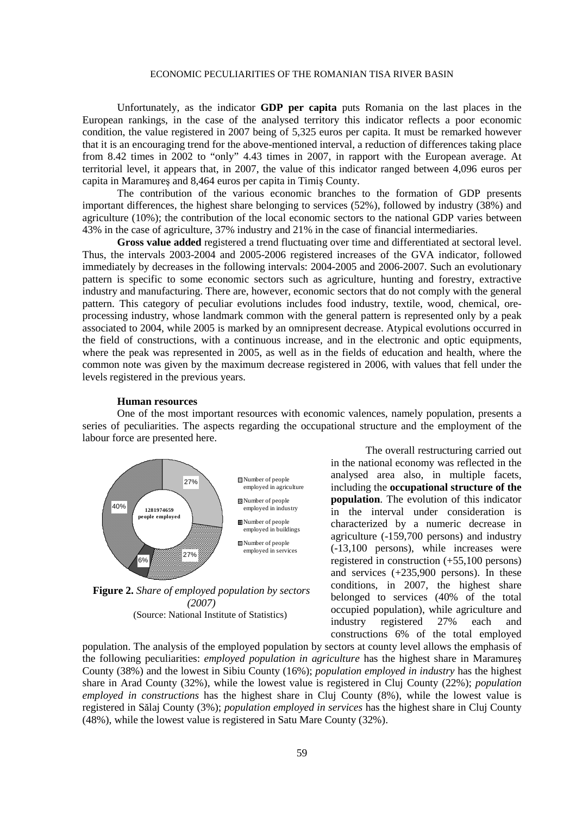Unfortunately, as the indicator **GDP per capita** puts Romania on the last places in the European rankings, in the case of the analysed territory this indicator reflects a poor economic condition, the value registered in 2007 being of 5,325 euros per capita. It must be remarked however that it is an encouraging trend for the above-mentioned interval, a reduction of differences taking place from 8.42 times in 2002 to "only" 4.43 times in 2007, in rapport with the European average. At territorial level, it appears that, in 2007, the value of this indicator ranged between 4,096 euros per capita in Maramureş and 8,464 euros per capita in Timiş County.

The contribution of the various economic branches to the formation of GDP presents important differences, the highest share belonging to services (52%), followed by industry (38%) and agriculture (10%); the contribution of the local economic sectors to the national GDP varies between 43% in the case of agriculture, 37% industry and 21% in the case of financial intermediaries.

**Gross value added** registered a trend fluctuating over time and differentiated at sectoral level. Thus, the intervals 2003-2004 and 2005-2006 registered increases of the GVA indicator, followed immediately by decreases in the following intervals: 2004-2005 and 2006-2007. Such an evolutionary pattern is specific to some economic sectors such as agriculture, hunting and forestry, extractive industry and manufacturing. There are, however, economic sectors that do not comply with the general pattern. This category of peculiar evolutions includes food industry, textile, wood, chemical, oreprocessing industry, whose landmark common with the general pattern is represented only by a peak associated to 2004, while 2005 is marked by an omnipresent decrease. Atypical evolutions occurred in the field of constructions, with a continuous increase, and in the electronic and optic equipments, where the peak was represented in 2005, as well as in the fields of education and health, where the common note was given by the maximum decrease registered in 2006, with values that fell under the levels registered in the previous years.

#### **Human resources**

One of the most important resources with economic valences, namely population, presents a series of peculiarities. The aspects regarding the occupational structure and the employment of the labour force are presented here.



**Figure 2.** *Share of employed population by sectors (2007)*  (Source: National Institute of Statistics)

The overall restructuring carried out in the national economy was reflected in the analysed area also, in multiple facets, including the **occupational structure of the population**. The evolution of this indicator in the interval under consideration is characterized by a numeric decrease in agriculture (-159,700 persons) and industry (-13,100 persons), while increases were registered in construction (+55,100 persons) and services (+235,900 persons). In these conditions, in 2007, the highest share belonged to services (40% of the total occupied population), while agriculture and industry registered 27% each and constructions 6% of the total employed

population. The analysis of the employed population by sectors at county level allows the emphasis of the following peculiarities: *employed population in agriculture* has the highest share in Maramureş County (38%) and the lowest in Sibiu County (16%); *population employed in industry* has the highest share in Arad County (32%), while the lowest value is registered in Cluj County (22%); *population employed in constructions* has the highest share in Cluj County (8%), while the lowest value is registered in Sălaj County (3%); *population employed in services* has the highest share in Cluj County (48%), while the lowest value is registered in Satu Mare County (32%).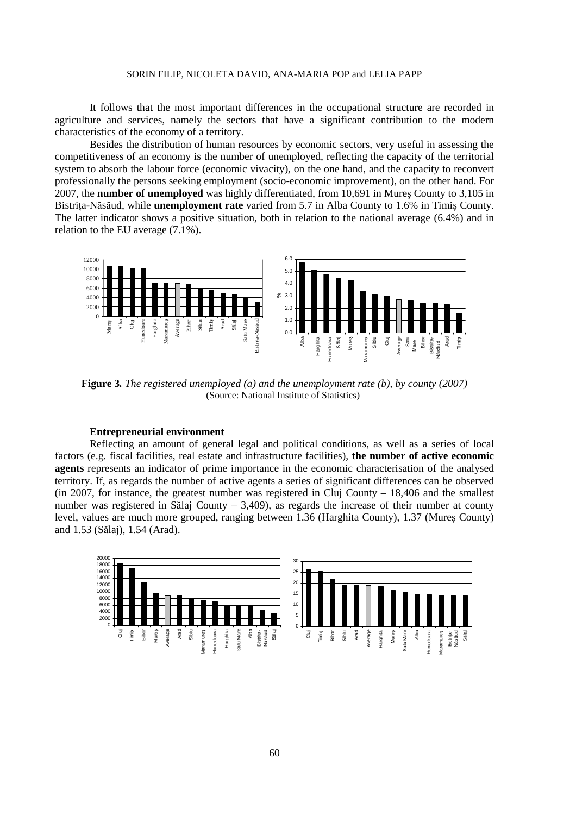#### SORIN FILIP, NICOLETA DAVID, ANA-MARIA POP and LELIA PAPP

It follows that the most important differences in the occupational structure are recorded in agriculture and services, namely the sectors that have a significant contribution to the modern characteristics of the economy of a territory.

Besides the distribution of human resources by economic sectors, very useful in assessing the competitiveness of an economy is the number of unemployed, reflecting the capacity of the territorial system to absorb the labour force (economic vivacity), on the one hand, and the capacity to reconvert professionally the persons seeking employment (socio-economic improvement), on the other hand. For 2007, the **number of unemployed** was highly differentiated, from 10,691 in Mureş County to 3,105 in Bistrița-Năsăud, while **unemployment rate** varied from 5.7 in Alba County to 1.6% in Timiș County. The latter indicator shows a positive situation, both in relation to the national average (6.4%) and in relation to the EU average (7.1%).



**Figure 3***. The registered unemployed (a) and the unemployment rate (b), by county (2007)*  (Source: National Institute of Statistics)

#### **Entrepreneurial environment**

Reflecting an amount of general legal and political conditions, as well as a series of local factors (e.g. fiscal facilities, real estate and infrastructure facilities), **the number of active economic agents** represents an indicator of prime importance in the economic characterisation of the analysed territory. If, as regards the number of active agents a series of significant differences can be observed (in 2007, for instance, the greatest number was registered in Cluj County  $-18,406$  and the smallest number was registered in Sălaj County – 3,409), as regards the increase of their number at county level, values are much more grouped, ranging between 1.36 (Harghita County), 1.37 (Mureş County) and 1.53 (Sălaj), 1.54 (Arad).

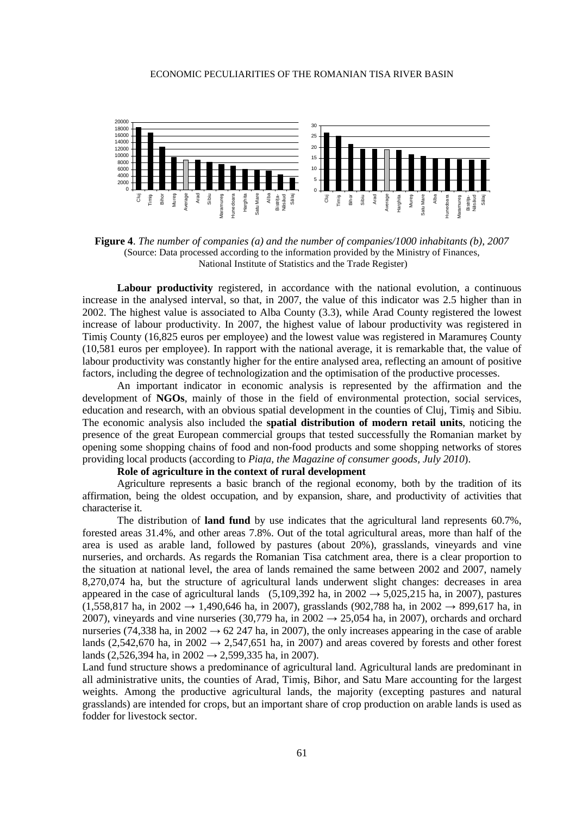

**Figure 4**. *The number of companies (a) and the number of companies/1000 inhabitants (b), 2007*  (Source: Data processed according to the information provided by the Ministry of Finances, National Institute of Statistics and the Trade Register)

Labour productivity registered, in accordance with the national evolution, a continuous increase in the analysed interval, so that, in 2007, the value of this indicator was 2.5 higher than in 2002. The highest value is associated to Alba County (3.3), while Arad County registered the lowest increase of labour productivity. In 2007, the highest value of labour productivity was registered in Timiş County (16,825 euros per employee) and the lowest value was registered in Maramureş County (10,581 euros per employee). In rapport with the national average, it is remarkable that, the value of labour productivity was constantly higher for the entire analysed area, reflecting an amount of positive factors, including the degree of technologization and the optimisation of the productive processes.

An important indicator in economic analysis is represented by the affirmation and the development of **NGOs**, mainly of those in the field of environmental protection, social services, education and research, with an obvious spatial development in the counties of Cluj, Timiş and Sibiu. The economic analysis also included the **spatial distribution of modern retail units**, noticing the presence of the great European commercial groups that tested successfully the Romanian market by opening some shopping chains of food and non-food products and some shopping networks of stores providing local products (according to *Piata, the Magazine of consumer goods, July 2010*).

# **Role of agriculture in the context of rural development**

Agriculture represents a basic branch of the regional economy, both by the tradition of its affirmation, being the oldest occupation, and by expansion, share, and productivity of activities that characterise it.

The distribution of **land fund** by use indicates that the agricultural land represents 60.7%, forested areas 31.4%, and other areas 7.8%. Out of the total agricultural areas, more than half of the area is used as arable land, followed by pastures (about 20%), grasslands, vineyards and vine nurseries, and orchards. As regards the Romanian Tisa catchment area, there is a clear proportion to the situation at national level, the area of lands remained the same between 2002 and 2007, namely 8,270,074 ha, but the structure of agricultural lands underwent slight changes: decreases in area appeared in the case of agricultural lands (5,109,392 ha, in 2002  $\rightarrow$  5,025,215 ha, in 2007), pastures  $(1,558,817 \text{ ha}, \text{in } 2002 \rightarrow 1,490,646 \text{ ha}, \text{in } 2007)$ , grasslands  $(902,788 \text{ ha}, \text{in } 2002 \rightarrow 899,617 \text{ ha}, \text{in } 2002 \rightarrow 1,490,646 \text{ ha}, \text{in } 2007)$ 2007), vineyards and vine nurseries (30,779 ha, in 2002  $\rightarrow$  25,054 ha, in 2007), orchards and orchard nurseries (74,338 ha, in 2002  $\rightarrow$  62 247 ha, in 2007), the only increases appearing in the case of arable lands (2,542,670 ha, in 2002  $\rightarrow$  2,547,651 ha, in 2007) and areas covered by forests and other forest lands (2,526,394 ha, in 2002  $\rightarrow$  2,599,335 ha, in 2007).

Land fund structure shows a predominance of agricultural land. Agricultural lands are predominant in all administrative units, the counties of Arad, Timiş, Bihor, and Satu Mare accounting for the largest weights. Among the productive agricultural lands, the majority (excepting pastures and natural grasslands) are intended for crops, but an important share of crop production on arable lands is used as fodder for livestock sector.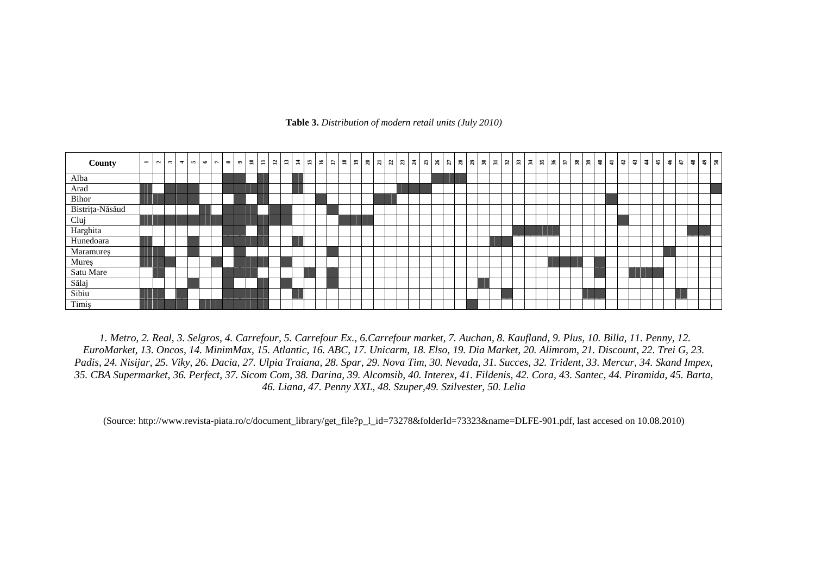**Table 3.** *Distribution of modern retail units (July 2010)*



 *1. Metro, 2. Real, 3. Selgros, 4. Carrefour, 5. Carrefour Ex., 6.Carrefour market, 7. Auchan, 8. Kaufland, 9. Plus, 10. Billa, 11. Penny, 12. EuroMarket, 13. Oncos, 14. MinimMax, 15. Atlantic, 16. ABC, 17. Unicarm, 18. Elso, 19. Dia Market, 20. Alimrom, 21. Discount, 22. Trei G, 23. Padis, 24. Nisijar, 25. Viky, 26. Dacia, 27. Ulpia Traiana, 28. Spar, 29. Nova Tim, 30. Nevada, 31. Succes, 32. Trident, 33. Mercur, 34. Skand Impex, 35. CBA Supermarket, 36. Perfect, 37. Sicom Com, 38. Darina, 39. Alcomsib, 40. Interex, 41. Fildenis, 42. Cora, 43. Santec, 44. Piramida, 45. Barta, 46. Liana, 47. Penny XXL, 48. Szuper,49. Szilvester, 50. Lelia* 

(Source: http://www.revista-piata.ro/c/document\_library/get\_file?p\_l\_id=73278&folderId=73323&name=DLFE-901.pdf, last accesed on 10.08.2010)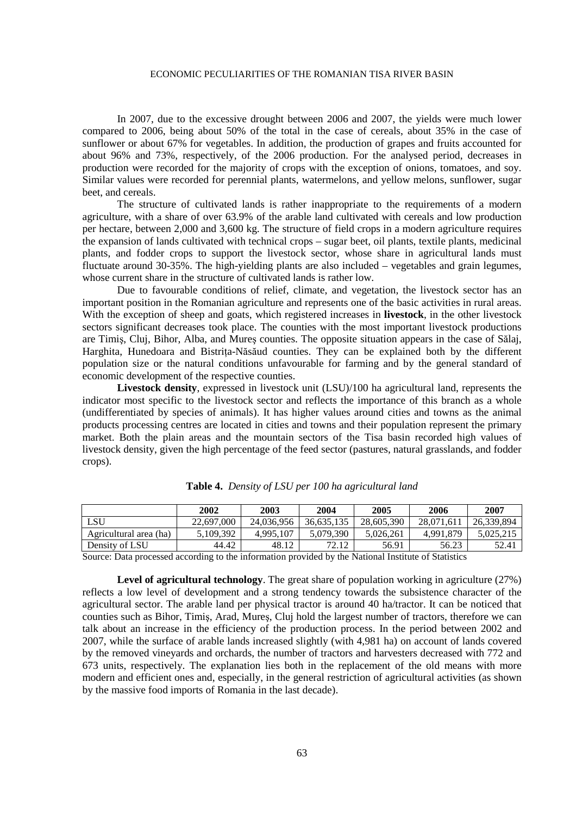In 2007, due to the excessive drought between 2006 and 2007, the yields were much lower compared to 2006, being about 50% of the total in the case of cereals, about 35% in the case of sunflower or about 67% for vegetables. In addition, the production of grapes and fruits accounted for about 96% and 73%, respectively, of the 2006 production. For the analysed period, decreases in production were recorded for the majority of crops with the exception of onions, tomatoes, and soy. Similar values were recorded for perennial plants, watermelons, and yellow melons, sunflower, sugar beet, and cereals.

The structure of cultivated lands is rather inappropriate to the requirements of a modern agriculture, with a share of over 63.9% of the arable land cultivated with cereals and low production per hectare, between 2,000 and 3,600 kg. The structure of field crops in a modern agriculture requires the expansion of lands cultivated with technical crops – sugar beet, oil plants, textile plants, medicinal plants, and fodder crops to support the livestock sector, whose share in agricultural lands must fluctuate around 30-35%. The high-yielding plants are also included – vegetables and grain legumes, whose current share in the structure of cultivated lands is rather low.

Due to favourable conditions of relief, climate, and vegetation, the livestock sector has an important position in the Romanian agriculture and represents one of the basic activities in rural areas. With the exception of sheep and goats, which registered increases in **livestock**, in the other livestock sectors significant decreases took place. The counties with the most important livestock productions are Timiş, Cluj, Bihor, Alba, and Mureş counties. The opposite situation appears in the case of Sălaj, Harghita, Hunedoara and Bistrița-Năsăud counties. They can be explained both by the different population size or the natural conditions unfavourable for farming and by the general standard of economic development of the respective counties.

**Livestock density**, expressed in livestock unit (LSU)/100 ha agricultural land, represents the indicator most specific to the livestock sector and reflects the importance of this branch as a whole (undifferentiated by species of animals). It has higher values around cities and towns as the animal products processing centres are located in cities and towns and their population represent the primary market. Both the plain areas and the mountain sectors of the Tisa basin recorded high values of livestock density, given the high percentage of the feed sector (pastures, natural grasslands, and fodder crops).

|                        | 2002       | 2003       | 2004       | 2005       | 2006       | 2007       |
|------------------------|------------|------------|------------|------------|------------|------------|
| LSU                    | 22,697,000 | 24.036.956 | 36.635.135 | 28,605,390 | 28,071,611 | 26.339.894 |
| Agricultural area (ha) | 5,109,392  | 4.995.107  | 5.079.390  | 5.026.261  | 4.991.879  | 5.025.215  |
| Density of LSU         | 44.42      | 48.12      | 7212       | 56.91      | 56.23      | 52.41      |

|  |  |  | Table 4. Density of LSU per 100 ha agricultural land |
|--|--|--|------------------------------------------------------|
|--|--|--|------------------------------------------------------|

Source: Data processed according to the information provided by the National Institute of Statistics

**Level of agricultural technology**. The great share of population working in agriculture (27%) reflects a low level of development and a strong tendency towards the subsistence character of the agricultural sector. The arable land per physical tractor is around 40 ha/tractor. It can be noticed that counties such as Bihor, Timiş, Arad, Mureş, Cluj hold the largest number of tractors, therefore we can talk about an increase in the efficiency of the production process. In the period between 2002 and 2007, while the surface of arable lands increased slightly (with 4,981 ha) on account of lands covered by the removed vineyards and orchards, the number of tractors and harvesters decreased with 772 and 673 units, respectively. The explanation lies both in the replacement of the old means with more modern and efficient ones and, especially, in the general restriction of agricultural activities (as shown by the massive food imports of Romania in the last decade).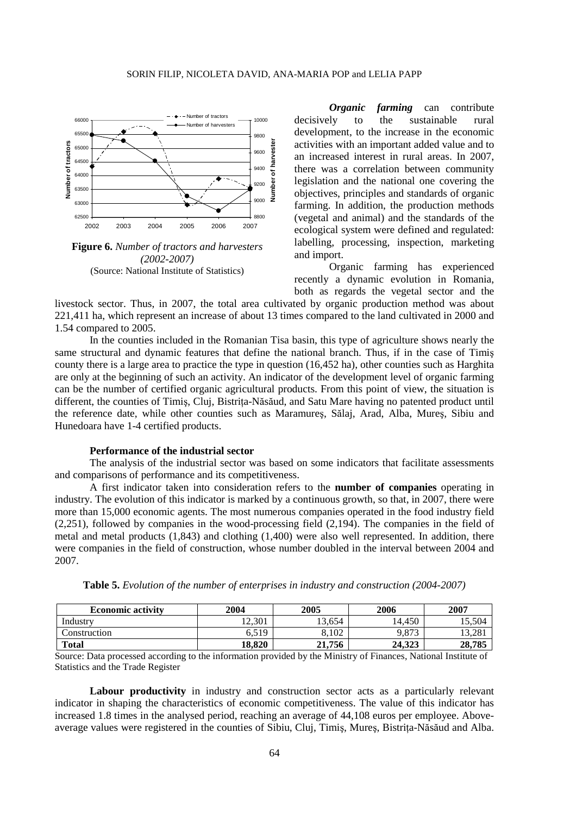

**Figure 6.** *Number of tractors and harvesters (2002-2007)*  (Source: National Institute of Statistics)

*Organic farming* can contribute decisively to the sustainable rural development, to the increase in the economic activities with an important added value and to an increased interest in rural areas. In 2007, there was a correlation between community legislation and the national one covering the objectives, principles and standards of organic farming. In addition, the production methods (vegetal and animal) and the standards of the ecological system were defined and regulated: labelling, processing, inspection, marketing and import.

Organic farming has experienced recently a dynamic evolution in Romania, both as regards the vegetal sector and the

livestock sector. Thus, in 2007, the total area cultivated by organic production method was about 221,411 ha, which represent an increase of about 13 times compared to the land cultivated in 2000 and 1.54 compared to 2005.

In the counties included in the Romanian Tisa basin, this type of agriculture shows nearly the same structural and dynamic features that define the national branch. Thus, if in the case of Timiş county there is a large area to practice the type in question (16,452 ha), other counties such as Harghita are only at the beginning of such an activity. An indicator of the development level of organic farming can be the number of certified organic agricultural products. From this point of view, the situation is different, the counties of Timis, Cluj, Bistrita-Năsăud, and Satu Mare having no patented product until the reference date, while other counties such as Maramureş, Sălaj, Arad, Alba, Mureş, Sibiu and Hunedoara have 1-4 certified products.

## **Performance of the industrial sector**

The analysis of the industrial sector was based on some indicators that facilitate assessments and comparisons of performance and its competitiveness.

 A first indicator taken into consideration refers to the **number of companies** operating in industry. The evolution of this indicator is marked by a continuous growth, so that, in 2007, there were more than 15,000 economic agents. The most numerous companies operated in the food industry field (2,251), followed by companies in the wood-processing field (2,194). The companies in the field of metal and metal products (1,843) and clothing (1,400) were also well represented. In addition, there were companies in the field of construction, whose number doubled in the interval between 2004 and 2007.

| <b>Economic activity</b> | 2004   | 2005   | 2006   | 2007   |
|--------------------------|--------|--------|--------|--------|
| Industrv                 | 12.301 | 13.654 | 14.450 | 15.504 |
| Construction             | 6.519  | 8.102  | 9,873  | 13.281 |
| <b>Total</b>             | 18.820 | 21,756 | 24.323 | 28,785 |

|  | <b>Table 5.</b> Evolution of the number of enterprises in industry and construction (2004-2007) |  |  |  |  |  |
|--|-------------------------------------------------------------------------------------------------|--|--|--|--|--|
|--|-------------------------------------------------------------------------------------------------|--|--|--|--|--|

Source: Data processed according to the information provided by the Ministry of Finances, National Institute of Statistics and the Trade Register

**Labour productivity** in industry and construction sector acts as a particularly relevant indicator in shaping the characteristics of economic competitiveness. The value of this indicator has increased 1.8 times in the analysed period, reaching an average of 44,108 euros per employee. Aboveaverage values were registered in the counties of Sibiu, Cluj, Timis, Mures, Bistrita-Năsăud and Alba.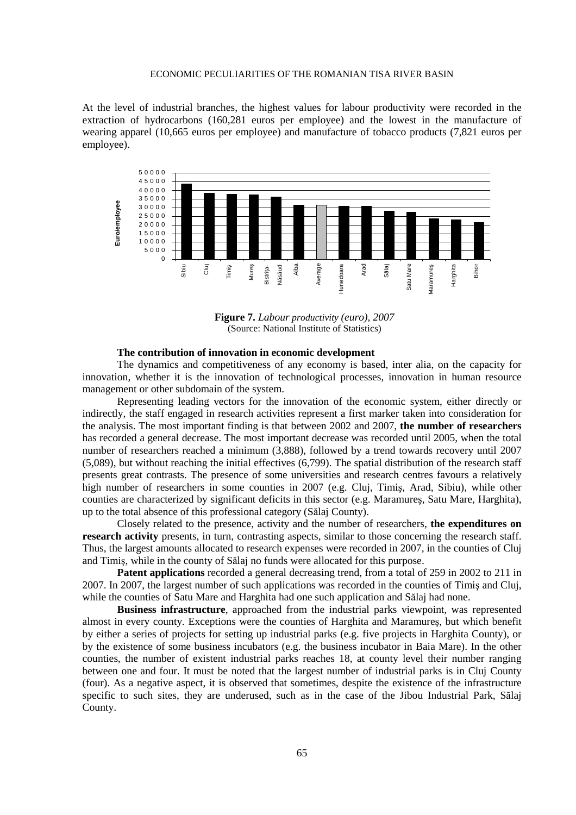At the level of industrial branches, the highest values for labour productivity were recorded in the extraction of hydrocarbons (160,281 euros per employee) and the lowest in the manufacture of wearing apparel (10,665 euros per employee) and manufacture of tobacco products (7,821 euros per employee).



**Figure 7.** *Labour productivity (euro), 2007*  (Source: National Institute of Statistics)

#### **The contribution of innovation in economic development**

The dynamics and competitiveness of any economy is based, inter alia, on the capacity for innovation, whether it is the innovation of technological processes, innovation in human resource management or other subdomain of the system.

Representing leading vectors for the innovation of the economic system, either directly or indirectly, the staff engaged in research activities represent a first marker taken into consideration for the analysis. The most important finding is that between 2002 and 2007, **the number of researchers** has recorded a general decrease. The most important decrease was recorded until 2005, when the total number of researchers reached a minimum (3,888), followed by a trend towards recovery until 2007 (5,089), but without reaching the initial effectives (6,799). The spatial distribution of the research staff presents great contrasts. The presence of some universities and research centres favours a relatively high number of researchers in some counties in 2007 (e.g. Cluj, Timiş, Arad, Sibiu), while other counties are characterized by significant deficits in this sector (e.g. Maramureş, Satu Mare, Harghita), up to the total absence of this professional category (Sălaj County).

Closely related to the presence, activity and the number of researchers, **the expenditures on research activity** presents, in turn, contrasting aspects, similar to those concerning the research staff. Thus, the largest amounts allocated to research expenses were recorded in 2007, in the counties of Cluj and Timiş, while in the county of Sălaj no funds were allocated for this purpose.

**Patent applications** recorded a general decreasing trend, from a total of 259 in 2002 to 211 in 2007. In 2007, the largest number of such applications was recorded in the counties of Timiş and Cluj, while the counties of Satu Mare and Harghita had one such application and Sălaj had none.

**Business infrastructure**, approached from the industrial parks viewpoint, was represented almost in every county. Exceptions were the counties of Harghita and Maramureş, but which benefit by either a series of projects for setting up industrial parks (e.g. five projects in Harghita County), or by the existence of some business incubators (e.g. the business incubator in Baia Mare). In the other counties, the number of existent industrial parks reaches 18, at county level their number ranging between one and four. It must be noted that the largest number of industrial parks is in Cluj County (four). As a negative aspect, it is observed that sometimes, despite the existence of the infrastructure specific to such sites, they are underused, such as in the case of the Jibou Industrial Park, Sălaj County.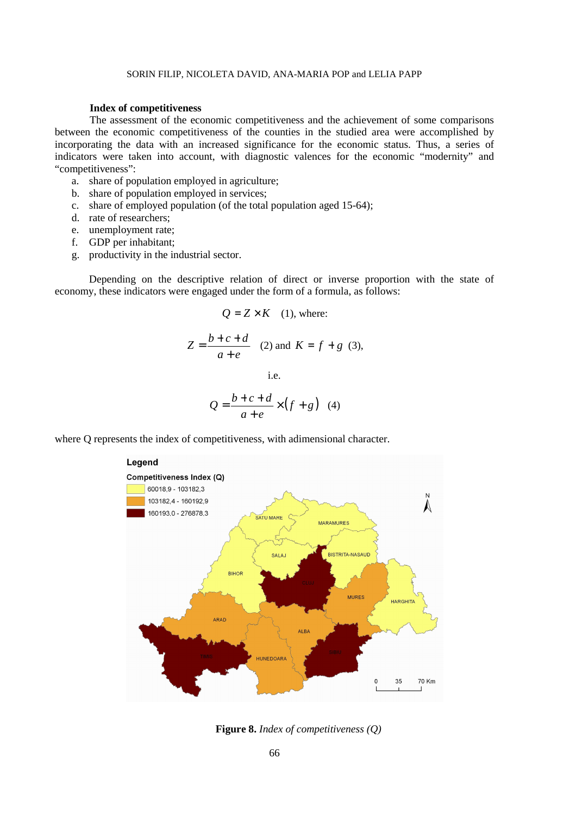#### SORIN FILIP, NICOLETA DAVID, ANA-MARIA POP and LELIA PAPP

#### **Index of competitiveness**

The assessment of the economic competitiveness and the achievement of some comparisons between the economic competitiveness of the counties in the studied area were accomplished by incorporating the data with an increased significance for the economic status. Thus, a series of indicators were taken into account, with diagnostic valences for the economic "modernity" and "competitiveness":

- a. share of population employed in agriculture;
- b. share of population employed in services;
- c. share of employed population (of the total population aged 15-64);
- d. rate of researchers;
- e. unemployment rate;
- f. GDP per inhabitant;
- g. productivity in the industrial sector.

Depending on the descriptive relation of direct or inverse proportion with the state of economy, these indicators were engaged under the form of a formula, as follows:

$$
Q = Z \times K \quad (1), \text{ where:}
$$
\n
$$
Z = \frac{b+c+d}{a+e} \quad (2) \text{ and } K = f + g \quad (3),
$$
\ni.e.

where Q represents the index of competitiveness, with adimensional character.

 $a + e$ 

+



**Figure 8.** *Index of competitiveness (Q)*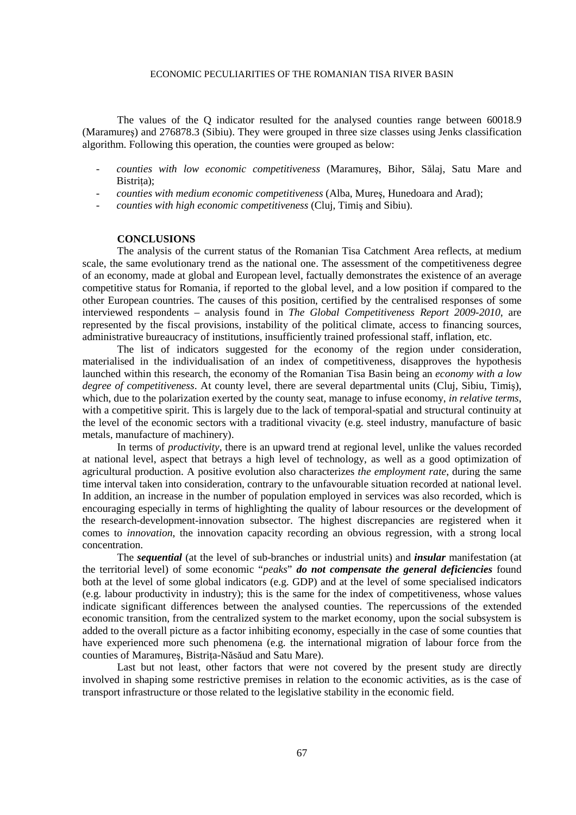The values of the Q indicator resulted for the analysed counties range between 60018.9 (Maramureş) and 276878.3 (Sibiu). They were grouped in three size classes using Jenks classification algorithm. Following this operation, the counties were grouped as below:

- *counties with low economic competitiveness* (Maramureş, Bihor, Sălaj, Satu Mare and Bistrita):
- *counties with medium economic competitiveness* (Alba, Mureş, Hunedoara and Arad);
- *counties with high economic competitiveness* (Cluj, Timiş and Sibiu).

# **CONCLUSIONS**

 The analysis of the current status of the Romanian Tisa Catchment Area reflects, at medium scale, the same evolutionary trend as the national one. The assessment of the competitiveness degree of an economy, made at global and European level, factually demonstrates the existence of an average competitive status for Romania, if reported to the global level, and a low position if compared to the other European countries. The causes of this position, certified by the centralised responses of some interviewed respondents – analysis found in *The Global Competitiveness Report 2009-2010*, are represented by the fiscal provisions, instability of the political climate, access to financing sources, administrative bureaucracy of institutions, insufficiently trained professional staff, inflation, etc.

 The list of indicators suggested for the economy of the region under consideration, materialised in the individualisation of an index of competitiveness, disapproves the hypothesis launched within this research, the economy of the Romanian Tisa Basin being an *economy with a low degree of competitiveness*. At county level, there are several departmental units (Cluj, Sibiu, Timiş), which, due to the polarization exerted by the county seat, manage to infuse economy, *in relative terms*, with a competitive spirit. This is largely due to the lack of temporal-spatial and structural continuity at the level of the economic sectors with a traditional vivacity (e.g. steel industry, manufacture of basic metals, manufacture of machinery).

 In terms of *productivity*, there is an upward trend at regional level, unlike the values recorded at national level, aspect that betrays a high level of technology, as well as a good optimization of agricultural production. A positive evolution also characterizes *the employment rate*, during the same time interval taken into consideration, contrary to the unfavourable situation recorded at national level. In addition, an increase in the number of population employed in services was also recorded, which is encouraging especially in terms of highlighting the quality of labour resources or the development of the research-development-innovation subsector. The highest discrepancies are registered when it comes to *innovation*, the innovation capacity recording an obvious regression, with a strong local concentration.

 The *sequential* (at the level of sub-branches or industrial units) and *insular* manifestation (at the territorial level) of some economic "*peaks*" *do not compensate the general deficiencies* found both at the level of some global indicators (e.g. GDP) and at the level of some specialised indicators (e.g. labour productivity in industry); this is the same for the index of competitiveness, whose values indicate significant differences between the analysed counties. The repercussions of the extended economic transition, from the centralized system to the market economy, upon the social subsystem is added to the overall picture as a factor inhibiting economy, especially in the case of some counties that have experienced more such phenomena (e.g. the international migration of labour force from the counties of Maramures, Bistrita-Năsăud and Satu Mare).

 Last but not least, other factors that were not covered by the present study are directly involved in shaping some restrictive premises in relation to the economic activities, as is the case of transport infrastructure or those related to the legislative stability in the economic field.